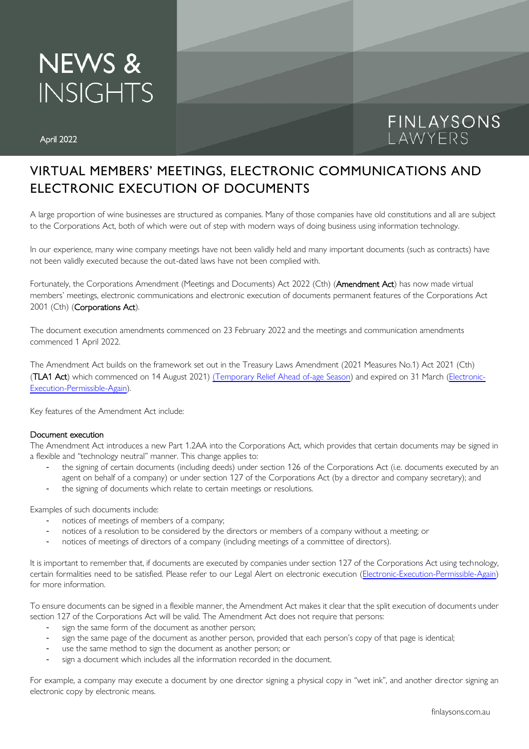## **NEWS & INSIGHTS**

# FINLAYSONS<br>LAWYERS

### VIRTUAL MEMBERS' MEETINGS, ELECTRONIC COMMUNICATIONS AND ELECTRONIC EXECUTION OF DOCUMENTS

A large proportion of wine businesses are structured as companies. Many of those companies have old constitutions and all are subject to the Corporations Act, both of which were out of step with modern ways of doing business using information technology.

In our experience, many wine company meetings have not been validly held and many important documents (such as contracts) have not been validly executed because the out-dated laws have not been complied with.

Fortunately, the Corporations Amendment (Meetings and Documents) Act 2022 (Cth) (Amendment Act) has now made virtual members' meetings, electronic communications and electronic execution of documents permanent features of the Corporations Act 2001 (Cth) (Corporations Act).

The document execution amendments commenced on 23 February 2022 and the meetings and communication amendments commenced 1 April 2022.

The Amendment Act builds on the framework set out in the Treasury Laws Amendment (2021 Measures No.1) Act 2021 (Cth) (TLA1 Act) which commenced on 14 August 2021) (Temporary Relief Ahead [of-age Season\)](https://www.finlaysons.com.au/2021/08/temporary-relief-ahead-of-agm-season/) and expired on 31 March [\(Electronic-](https://www.finlaysons.com.au/2021/08/electronic-execution-permissible-again)[Execution-Permissible-Again\)](https://www.finlaysons.com.au/2021/08/electronic-execution-permissible-again).

Key features of the Amendment Act include:

#### Document execution

The Amendment Act introduces a new Part 1.2AA into the Corporations Act, which provides that certain documents may be signed in a flexible and "technology neutral" manner. This change applies to:

- the signing of certain documents (including deeds) under section 126 of the Corporations Act (i.e. documents executed by an agent on behalf of a company) or under section 127 of the Corporations Act (by a director and company secretary); and
- the signing of documents which relate to certain meetings or resolutions.

Examples of such documents include:

- notices of meetings of members of a company;
- notices of a resolution to be considered by the directors or members of a company without a meeting; or
- notices of meetings of directors of a company (including meetings of a committee of directors).

It is important to remember that, if documents are executed by companies under section 127 of the Corporations Act using technology, certain formalities need to be satisfied. Please refer to our Legal Alert on electronic execution [\(Electronic-Execution-Permissible-Again\)](https://www.finlaysons.com.au/2021/08/electronic-execution-permissible-again) for more information.

To ensure documents can be signed in a flexible manner, the Amendment Act makes it clear that the split execution of documents under section 127 of the Corporations Act will be valid. The Amendment Act does not require that persons:

- sign the same form of the document as another person;
- sign the same page of the document as another person, provided that each person's copy of that page is identical;
- use the same method to sign the document as another person; or
- sign a document which includes all the information recorded in the document.

For example, a company may execute a document by one director signing a physical copy in "wet ink", and another director signing an electronic copy by electronic means.